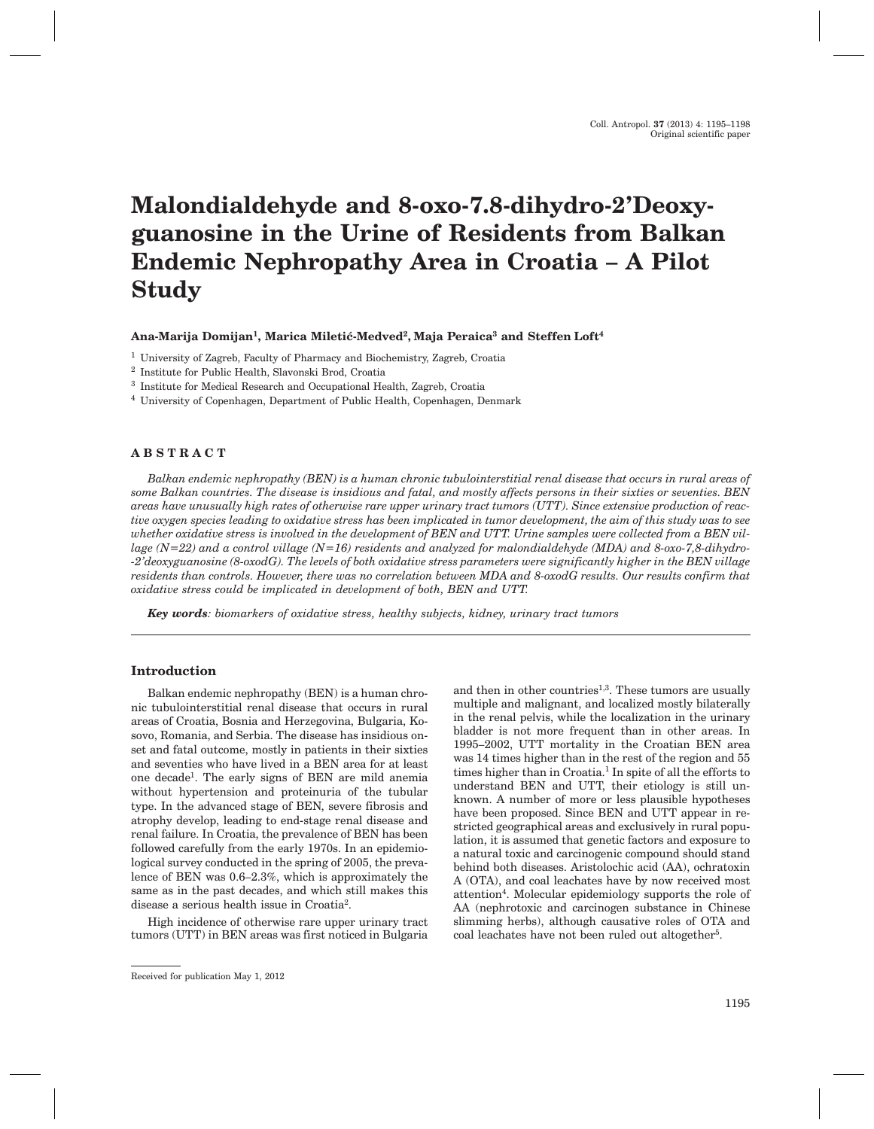# **Malondialdehyde and 8-oxo-7.8-dihydro-2'Deoxyguanosine in the Urine of Residents from Balkan Endemic Nephropathy Area in Croatia – A Pilot Study**

**Ana-Marija Domijan1, Marica Mileti}-Medved2, Maja Peraica3 and Steffen Loft4**

<sup>1</sup> University of Zagreb, Faculty of Pharmacy and Biochemistry, Zagreb, Croatia

<sup>3</sup> Institute for Medical Research and Occupational Health, Zagreb, Croatia

<sup>4</sup> University of Copenhagen, Department of Public Health, Copenhagen, Denmark

# **ABSTRACT**

*Balkan endemic nephropathy (BEN) is a human chronic tubulointerstitial renal disease that occurs in rural areas of some Balkan countries. The disease is insidious and fatal, and mostly affects persons in their sixties or seventies. BEN areas have unusually high rates of otherwise rare upper urinary tract tumors (UTT). Since extensive production of reactive oxygen species leading to oxidative stress has been implicated in tumor development, the aim of this study was to see whether oxidative stress is involved in the development of BEN and UTT. Urine samples were collected from a BEN village (N=22) and a control village (N=16) residents and analyzed for malondialdehyde (MDA) and 8-oxo-7,8-dihydro- -2'deoxyguanosine (8-oxodG). The levels of both oxidative stress parameters were significantly higher in the BEN village residents than controls. However, there was no correlation between MDA and 8-oxodG results. Our results confirm that oxidative stress could be implicated in development of both, BEN and UTT.*

*Key words: biomarkers of oxidative stress, healthy subjects, kidney, urinary tract tumors*

# **Introduction**

Balkan endemic nephropathy (BEN) is a human chronic tubulointerstitial renal disease that occurs in rural areas of Croatia, Bosnia and Herzegovina, Bulgaria, Kosovo, Romania, and Serbia. The disease has insidious onset and fatal outcome, mostly in patients in their sixties and seventies who have lived in a BEN area for at least one decade1. The early signs of BEN are mild anemia without hypertension and proteinuria of the tubular type. In the advanced stage of BEN, severe fibrosis and atrophy develop, leading to end-stage renal disease and renal failure. In Croatia, the prevalence of BEN has been followed carefully from the early 1970s. In an epidemiological survey conducted in the spring of 2005, the prevalence of BEN was 0.6–2.3%, which is approximately the same as in the past decades, and which still makes this disease a serious health issue in Croatia2.

High incidence of otherwise rare upper urinary tract tumors (UTT) in BEN areas was first noticed in Bulgaria and then in other countries<sup>1,3</sup>. These tumors are usually multiple and malignant, and localized mostly bilaterally in the renal pelvis, while the localization in the urinary bladder is not more frequent than in other areas. In 1995–2002, UTT mortality in the Croatian BEN area was 14 times higher than in the rest of the region and 55 times higher than in Croatia.<sup>1</sup> In spite of all the efforts to understand BEN and UTT, their etiology is still unknown. A number of more or less plausible hypotheses have been proposed. Since BEN and UTT appear in restricted geographical areas and exclusively in rural population, it is assumed that genetic factors and exposure to a natural toxic and carcinogenic compound should stand behind both diseases. Aristolochic acid (AA), ochratoxin A (OTA), and coal leachates have by now received most attention4. Molecular epidemiology supports the role of AA (nephrotoxic and carcinogen substance in Chinese slimming herbs), although causative roles of OTA and coal leachates have not been ruled out altogether<sup>5</sup>.

<sup>2</sup> Institute for Public Health, Slavonski Brod, Croatia

Received for publication May 1, 2012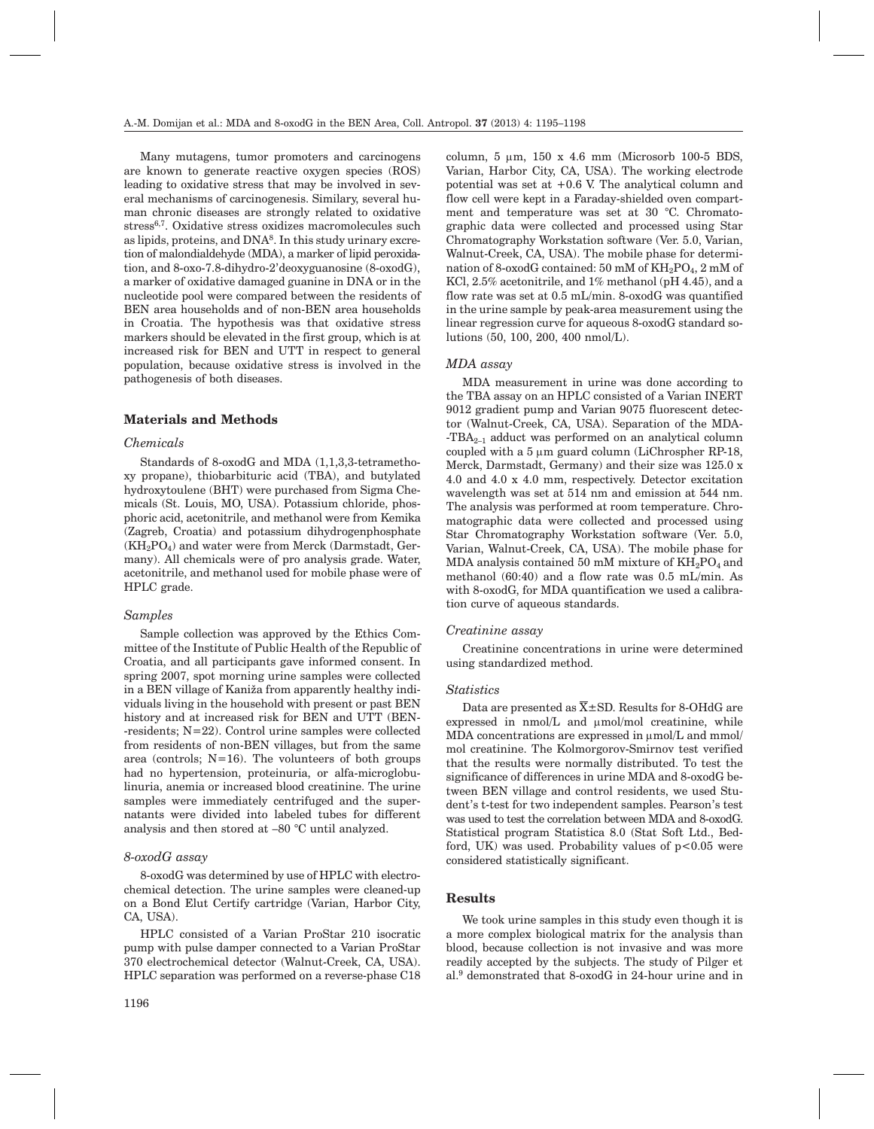Many mutagens, tumor promoters and carcinogens are known to generate reactive oxygen species (ROS) leading to oxidative stress that may be involved in several mechanisms of carcinogenesis. Similary, several human chronic diseases are strongly related to oxidative stress6,7. Oxidative stress oxidizes macromolecules such as lipids, proteins, and  $DNA<sup>8</sup>$ . In this study urinary excretion of malondialdehyde (MDA), a marker of lipid peroxidation, and 8-oxo-7.8-dihydro-2'deoxyguanosine (8-oxodG), a marker of oxidative damaged guanine in DNA or in the nucleotide pool were compared between the residents of BEN area households and of non-BEN area households in Croatia. The hypothesis was that oxidative stress markers should be elevated in the first group, which is at increased risk for BEN and UTT in respect to general population, because oxidative stress is involved in the pathogenesis of both diseases.

# **Materials and Methods**

## *Chemicals*

Standards of 8-oxodG and MDA (1,1,3,3-tetramethoxy propane), thiobarbituric acid (TBA), and butylated hydroxytoulene (BHT) were purchased from Sigma Chemicals (St. Louis, MO, USA). Potassium chloride, phosphoric acid, acetonitrile, and methanol were from Kemika (Zagreb, Croatia) and potassium dihydrogenphosphate  $(KH_2PO_4)$  and water were from Merck (Darmstadt, Germany). All chemicals were of pro analysis grade. Water, acetonitrile, and methanol used for mobile phase were of HPLC grade.

#### *Samples*

Sample collection was approved by the Ethics Committee of the Institute of Public Health of the Republic of Croatia, and all participants gave informed consent. In spring 2007, spot morning urine samples were collected in a BEN village of Kaniža from apparently healthy individuals living in the household with present or past BEN history and at increased risk for BEN and UTT (BEN- -residents; N=22). Control urine samples were collected from residents of non-BEN villages, but from the same area (controls;  $N=16$ ). The volunteers of both groups had no hypertension, proteinuria, or alfa-microglobulinuria, anemia or increased blood creatinine. The urine samples were immediately centrifuged and the supernatants were divided into labeled tubes for different analysis and then stored at –80 °C until analyzed.

## *8-oxodG assay*

8-oxodG was determined by use of HPLC with electrochemical detection. The urine samples were cleaned-up on a Bond Elut Certify cartridge (Varian, Harbor City, CA, USA).

HPLC consisted of a Varian ProStar 210 isocratic pump with pulse damper connected to a Varian ProStar 370 electrochemical detector (Walnut-Creek, CA, USA). HPLC separation was performed on a reverse-phase C18

column,  $5 \mu m$ ,  $150 \times 4.6 \text{ mm}$  (Microsorb 100-5 BDS, Varian, Harbor City, CA, USA). The working electrode potential was set at +0.6 V. The analytical column and flow cell were kept in a Faraday-shielded oven compartment and temperature was set at 30 °C. Chromatographic data were collected and processed using Star Chromatography Workstation software (Ver. 5.0, Varian, Walnut-Creek, CA, USA). The mobile phase for determination of 8-oxodG contained:  $50 \text{ mM of } KH_2PO_4$ ,  $2 \text{ mM of }$ KCl, 2.5% acetonitrile, and 1% methanol (pH 4.45), and a flow rate was set at 0.5 mL/min. 8-oxodG was quantified in the urine sample by peak-area measurement using the linear regression curve for aqueous 8-oxodG standard solutions (50, 100, 200, 400 nmol/L).

# *MDA assay*

MDA measurement in urine was done according to the TBA assay on an HPLC consisted of a Varian INERT 9012 gradient pump and Varian 9075 fluorescent detector (Walnut-Creek, CA, USA). Separation of the MDA- -TBA<sub>2-1</sub> adduct was performed on an analytical column coupled with a  $5 \mu m$  guard column (LiChrospher RP-18, Merck, Darmstadt, Germany) and their size was 125.0 x 4.0 and 4.0 x 4.0 mm, respectively. Detector excitation wavelength was set at 514 nm and emission at 544 nm. The analysis was performed at room temperature. Chromatographic data were collected and processed using Star Chromatography Workstation software (Ver. 5.0, Varian, Walnut-Creek, CA, USA). The mobile phase for MDA analysis contained 50 mM mixture of  $KH_{2}PO_{4}$  and methanol (60:40) and a flow rate was 0.5 mL/min. As with 8-oxodG, for MDA quantification we used a calibration curve of aqueous standards.

#### *Creatinine assay*

Creatinine concentrations in urine were determined using standardized method.

#### *Statistics*

Data are presented as  $\overline{X}$  ± SD. Results for 8-OHdG are expressed in  $nmol/L$  and  $µmol/mol$  creatinine, while MDA concentrations are expressed in  $\mu$ mol/L and mmol/ mol creatinine. The Kolmorgorov-Smirnov test verified that the results were normally distributed. To test the significance of differences in urine MDA and 8-oxodG between BEN village and control residents, we used Student's t-test for two independent samples. Pearson's test was used to test the correlation between MDA and 8-oxodG. Statistical program Statistica 8.0 (Stat Soft Ltd., Bedford, UK) was used. Probability values of  $p < 0.05$  were considered statistically significant.

# **Results**

We took urine samples in this study even though it is a more complex biological matrix for the analysis than blood, because collection is not invasive and was more readily accepted by the subjects. The study of Pilger et al.9 demonstrated that 8-oxodG in 24-hour urine and in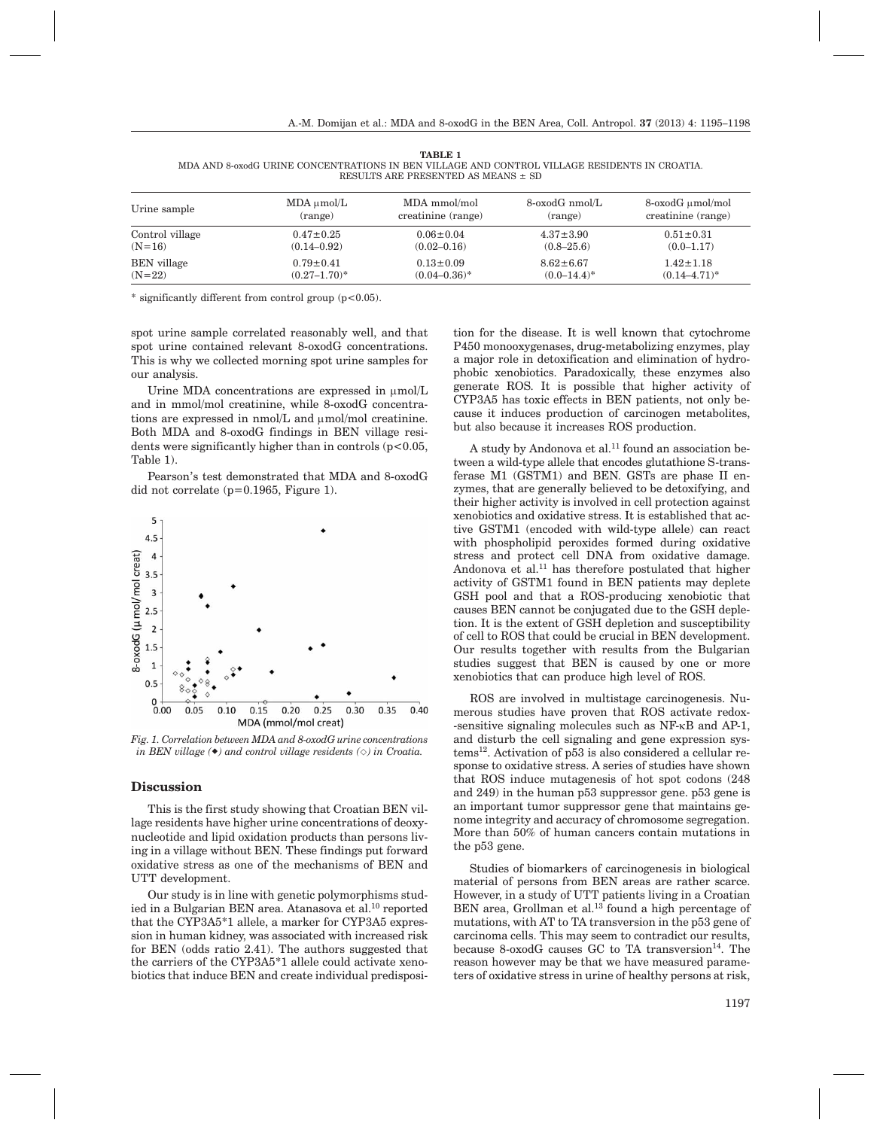| Urine sample       | $MDA \mu mol/L$   | MDA mmol/mol       | 8-oxodG nmol/L  | 8-oxodG µmol/mol   |
|--------------------|-------------------|--------------------|-----------------|--------------------|
|                    | (range)           | creatinine (range) | (range)         | creatinine (range) |
| Control village    | $0.47 \pm 0.25$   | $0.06 \pm 0.04$    | $4.37 \pm 3.90$ | $0.51 \pm 0.31$    |
| $(N=16)$           | $(0.14 - 0.92)$   | $(0.02 - 0.16)$    | $(0.8 - 25.6)$  | $(0.0 - 1.17)$     |
| <b>BEN</b> village | $0.79 \pm 0.41$   | $0.13 \pm 0.09$    | $8.62 \pm 6.67$ | $1.42 \pm 1.18$    |
| $(N=22)$           | $(0.27 - 1.70)^*$ | $(0.04 - 0.36)^*$  | $(0.0-14.4)^*$  | $(0.14 - 4.71)^*$  |

**TABLE 1** MDA AND 8-oxodG URINE CONCENTRATIONS IN BEN VILLAGE AND CONTROL VILLAGE RESIDENTS IN CROATIA. RESULTS ARE PRESENTED AS MEANS  $\pm$  SD

\* significantly different from control group (p<0.05).

spot urine sample correlated reasonably well, and that spot urine contained relevant 8-oxodG concentrations. This is why we collected morning spot urine samples for our analysis.

Urine MDA concentrations are expressed in  $\mu$ mol/L and in mmol/mol creatinine, while 8-oxodG concentrations are expressed in  $nmol/L$  and  $\mu mol/mol$  creatinine. Both MDA and 8-oxodG findings in BEN village residents were significantly higher than in controls  $(p<0.05$ , Table 1).

Pearson's test demonstrated that MDA and 8-oxodG did not correlate (p=0.1965, Figure 1).



*Fig. 1. Correlation between MDA and 8-oxodG urine concentrations in BEN village () and control village residents (-) in Croatia.*

#### **Discussion**

This is the first study showing that Croatian BEN village residents have higher urine concentrations of deoxynucleotide and lipid oxidation products than persons living in a village without BEN. These findings put forward oxidative stress as one of the mechanisms of BEN and UTT development.

Our study is in line with genetic polymorphisms studied in a Bulgarian BEN area. Atanasova et al.<sup>10</sup> reported that the CYP3A5\*1 allele, a marker for CYP3A5 expression in human kidney, was associated with increased risk for BEN (odds ratio 2.41). The authors suggested that the carriers of the CYP3A5\*1 allele could activate xenobiotics that induce BEN and create individual predisposition for the disease. It is well known that cytochrome P450 monooxygenases, drug-metabolizing enzymes, play a major role in detoxification and elimination of hydrophobic xenobiotics. Paradoxically, these enzymes also generate ROS. It is possible that higher activity of CYP3A5 has toxic effects in BEN patients, not only because it induces production of carcinogen metabolites, but also because it increases ROS production.

A study by Andonova et al.<sup>11</sup> found an association between a wild-type allele that encodes glutathione S-transferase M1 (GSTM1) and BEN. GSTs are phase II enzymes, that are generally believed to be detoxifying, and their higher activity is involved in cell protection against xenobiotics and oxidative stress. It is established that active GSTM1 (encoded with wild-type allele) can react with phospholipid peroxides formed during oxidative stress and protect cell DNA from oxidative damage. Andonova et al.<sup>11</sup> has therefore postulated that higher activity of GSTM1 found in BEN patients may deplete GSH pool and that a ROS-producing xenobiotic that causes BEN cannot be conjugated due to the GSH depletion. It is the extent of GSH depletion and susceptibility of cell to ROS that could be crucial in BEN development. Our results together with results from the Bulgarian studies suggest that BEN is caused by one or more xenobiotics that can produce high level of ROS.

ROS are involved in multistage carcinogenesis. Numerous studies have proven that ROS activate redox- -sensitive signaling molecules such as NF-kB and AP-1, and disturb the cell signaling and gene expression systems12. Activation of p53 is also considered a cellular response to oxidative stress. A series of studies have shown that ROS induce mutagenesis of hot spot codons (248 and 249) in the human p53 suppressor gene. p53 gene is an important tumor suppressor gene that maintains genome integrity and accuracy of chromosome segregation. More than 50% of human cancers contain mutations in the p53 gene.

Studies of biomarkers of carcinogenesis in biological material of persons from BEN areas are rather scarce. However, in a study of UTT patients living in a Croatian BEN area, Grollman et al.<sup>13</sup> found a high percentage of mutations, with AT to TA transversion in the p53 gene of carcinoma cells. This may seem to contradict our results, because 8-oxodG causes GC to TA transversion $^{14}$ . The reason however may be that we have measured parameters of oxidative stress in urine of healthy persons at risk,